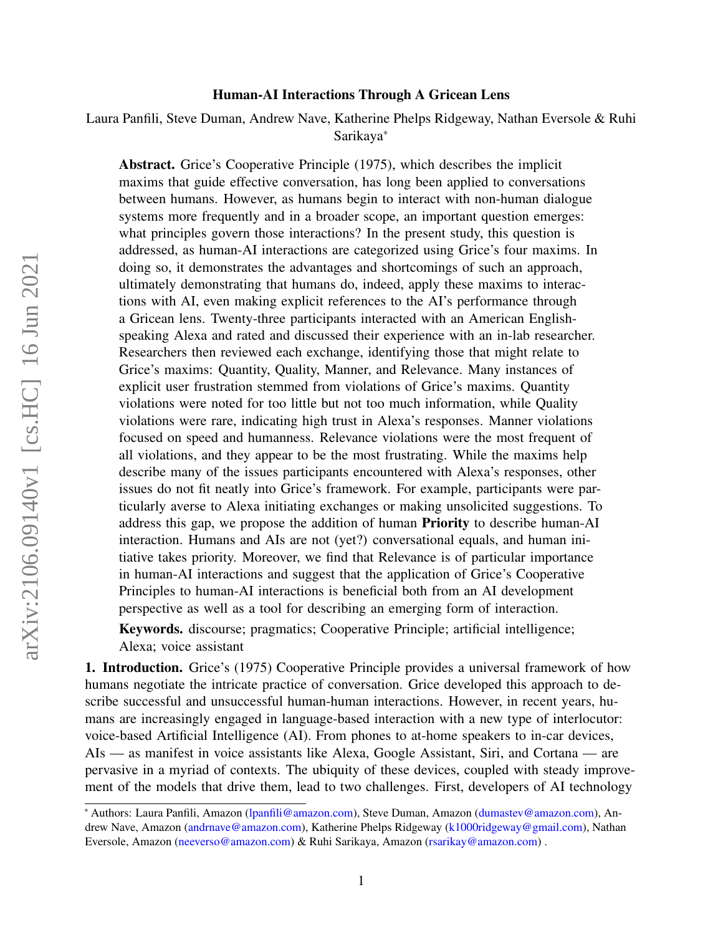## Human-AI Interactions Through A Gricean Lens

Laura Panfili, Steve Duman, Andrew Nave, Katherine Phelps Ridgeway, Nathan Eversole & Ruhi Sarikaya[\\*](#page-0-0)

Abstract. Grice's Cooperative Principle [\(1975\)](#page-13-0), which describes the implicit maxims that guide effective conversation, has long been applied to conversations between humans. However, as humans begin to interact with non-human dialogue systems more frequently and in a broader scope, an important question emerges: what principles govern those interactions? In the present study, this question is addressed, as human-AI interactions are categorized using Grice's four maxims. In doing so, it demonstrates the advantages and shortcomings of such an approach, ultimately demonstrating that humans do, indeed, apply these maxims to interactions with AI, even making explicit references to the AI's performance through a Gricean lens. Twenty-three participants interacted with an American Englishspeaking Alexa and rated and discussed their experience with an in-lab researcher. Researchers then reviewed each exchange, identifying those that might relate to Grice's maxims: Quantity, Quality, Manner, and Relevance. Many instances of explicit user frustration stemmed from violations of Grice's maxims. Quantity violations were noted for too little but not too much information, while Quality violations were rare, indicating high trust in Alexa's responses. Manner violations focused on speed and humanness. Relevance violations were the most frequent of all violations, and they appear to be the most frustrating. While the maxims help describe many of the issues participants encountered with Alexa's responses, other issues do not fit neatly into Grice's framework. For example, participants were particularly averse to Alexa initiating exchanges or making unsolicited suggestions. To address this gap, we propose the addition of human Priority to describe human-AI interaction. Humans and AIs are not (yet?) conversational equals, and human initiative takes priority. Moreover, we find that Relevance is of particular importance in human-AI interactions and suggest that the application of Grice's Cooperative Principles to human-AI interactions is beneficial both from an AI development perspective as well as a tool for describing an emerging form of interaction.

Keywords. discourse; pragmatics; Cooperative Principle; artificial intelligence; Alexa; voice assistant

1. Introduction. Grice's [\(1975\)](#page-13-0) Cooperative Principle provides a universal framework of how humans negotiate the intricate practice of conversation. Grice developed this approach to describe successful and unsuccessful human-human interactions. However, in recent years, humans are increasingly engaged in language-based interaction with a new type of interlocutor: voice-based Artificial Intelligence (AI). From phones to at-home speakers to in-car devices, AIs — as manifest in voice assistants like Alexa, Google Assistant, Siri, and Cortana — are pervasive in a myriad of contexts. The ubiquity of these devices, coupled with steady improvement of the models that drive them, lead to two challenges. First, developers of AI technology

<span id="page-0-0"></span><sup>\*</sup> Authors: Laura Panfili, Amazon [\(lpanfili@amazon.com\)](mailto:lpanfili@amazon.com), Steve Duman, Amazon [\(dumastev@amazon.com\)](mailto:dumastev@amazon.com), An-drew Nave, Amazon [\(andrnave@amazon.com\)](mailto:andrnave@amazon.com), Katherine Phelps Ridgeway [\(k1000ridgeway@gmail.com\)](mailto:k1000ridgeway@gmail.com), Nathan Eversole, Amazon [\(neeverso@amazon.com\)](mailto:neeverso@amazon.com) & Ruhi Sarikaya, Amazon [\(rsarikay@amazon.com\)](mailto:rsarikay@amazon.com) .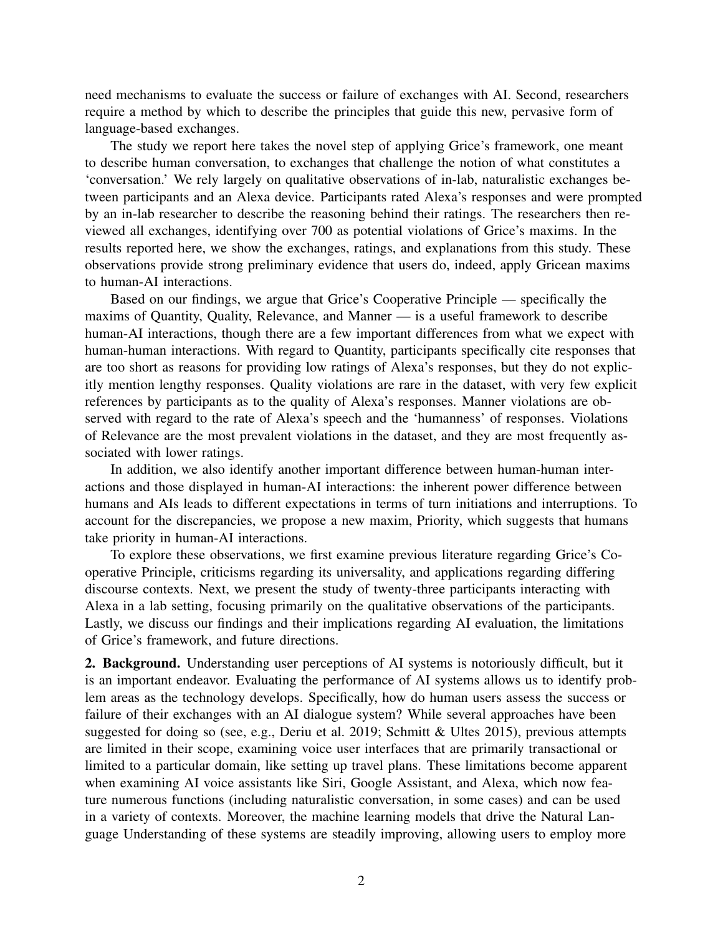need mechanisms to evaluate the success or failure of exchanges with AI. Second, researchers require a method by which to describe the principles that guide this new, pervasive form of language-based exchanges.

The study we report here takes the novel step of applying Grice's framework, one meant to describe human conversation, to exchanges that challenge the notion of what constitutes a 'conversation.' We rely largely on qualitative observations of in-lab, naturalistic exchanges between participants and an Alexa device. Participants rated Alexa's responses and were prompted by an in-lab researcher to describe the reasoning behind their ratings. The researchers then reviewed all exchanges, identifying over 700 as potential violations of Grice's maxims. In the results reported here, we show the exchanges, ratings, and explanations from this study. These observations provide strong preliminary evidence that users do, indeed, apply Gricean maxims to human-AI interactions.

Based on our findings, we argue that Grice's Cooperative Principle — specifically the maxims of Quantity, Quality, Relevance, and Manner — is a useful framework to describe human-AI interactions, though there are a few important differences from what we expect with human-human interactions. With regard to Quantity, participants specifically cite responses that are too short as reasons for providing low ratings of Alexa's responses, but they do not explicitly mention lengthy responses. Quality violations are rare in the dataset, with very few explicit references by participants as to the quality of Alexa's responses. Manner violations are observed with regard to the rate of Alexa's speech and the 'humanness' of responses. Violations of Relevance are the most prevalent violations in the dataset, and they are most frequently associated with lower ratings.

In addition, we also identify another important difference between human-human interactions and those displayed in human-AI interactions: the inherent power difference between humans and AIs leads to different expectations in terms of turn initiations and interruptions. To account for the discrepancies, we propose a new maxim, Priority, which suggests that humans take priority in human-AI interactions.

To explore these observations, we first examine previous literature regarding Grice's Cooperative Principle, criticisms regarding its universality, and applications regarding differing discourse contexts. Next, we present the study of twenty-three participants interacting with Alexa in a lab setting, focusing primarily on the qualitative observations of the participants. Lastly, we discuss our findings and their implications regarding AI evaluation, the limitations of Grice's framework, and future directions.

2. Background. Understanding user perceptions of AI systems is notoriously difficult, but it is an important endeavor. Evaluating the performance of AI systems allows us to identify problem areas as the technology develops. Specifically, how do human users assess the success or failure of their exchanges with an AI dialogue system? While several approaches have been suggested for doing so (see, e.g., [Deriu et al.](#page-13-1) [2019;](#page-13-1) [Schmitt & Ultes](#page-14-0) [2015\)](#page-14-0), previous attempts are limited in their scope, examining voice user interfaces that are primarily transactional or limited to a particular domain, like setting up travel plans. These limitations become apparent when examining AI voice assistants like Siri, Google Assistant, and Alexa, which now feature numerous functions (including naturalistic conversation, in some cases) and can be used in a variety of contexts. Moreover, the machine learning models that drive the Natural Language Understanding of these systems are steadily improving, allowing users to employ more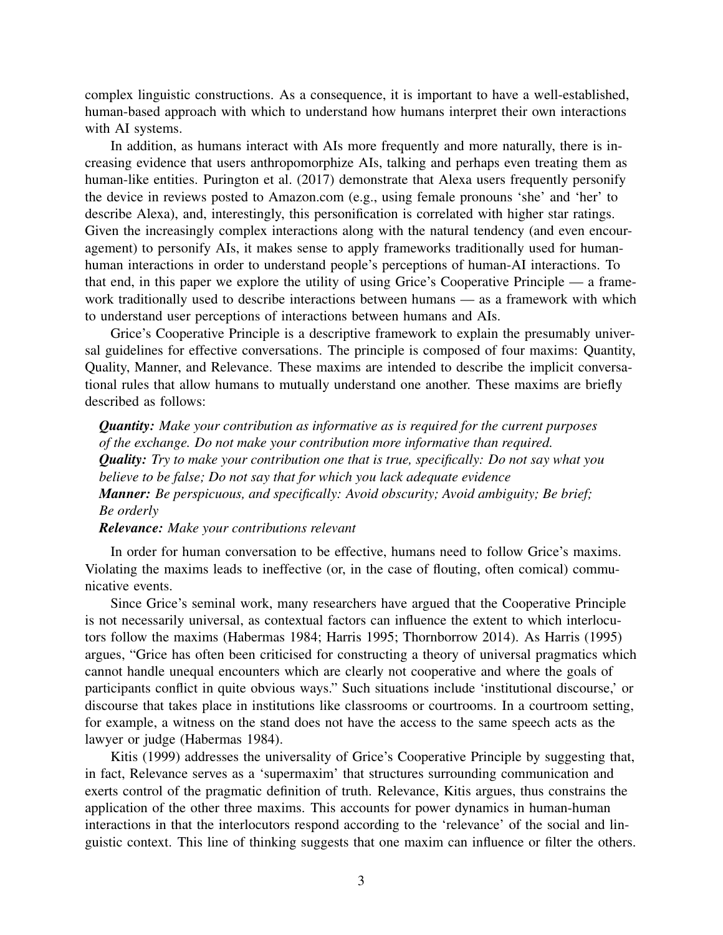complex linguistic constructions. As a consequence, it is important to have a well-established, human-based approach with which to understand how humans interpret their own interactions with AI systems.

In addition, as humans interact with AIs more frequently and more naturally, there is increasing evidence that users anthropomorphize AIs, talking and perhaps even treating them as human-like entities. [Purington et al.](#page-13-2) [\(2017\)](#page-13-2) demonstrate that Alexa users frequently personify the device in reviews posted to Amazon.com (e.g., using female pronouns 'she' and 'her' to describe Alexa), and, interestingly, this personification is correlated with higher star ratings. Given the increasingly complex interactions along with the natural tendency (and even encouragement) to personify AIs, it makes sense to apply frameworks traditionally used for humanhuman interactions in order to understand people's perceptions of human-AI interactions. To that end, in this paper we explore the utility of using Grice's Cooperative Principle — a framework traditionally used to describe interactions between humans — as a framework with which to understand user perceptions of interactions between humans and AIs.

Grice's Cooperative Principle is a descriptive framework to explain the presumably universal guidelines for effective conversations. The principle is composed of four maxims: Quantity, Quality, Manner, and Relevance. These maxims are intended to describe the implicit conversational rules that allow humans to mutually understand one another. These maxims are briefly described as follows:

*Quantity: Make your contribution as informative as is required for the current purposes of the exchange. Do not make your contribution more informative than required. Quality: Try to make your contribution one that is true, specifically: Do not say what you believe to be false; Do not say that for which you lack adequate evidence Manner: Be perspicuous, and specifically: Avoid obscurity; Avoid ambiguity; Be brief; Be orderly Relevance: Make your contributions relevant*

In order for human conversation to be effective, humans need to follow Grice's maxims. Violating the maxims leads to ineffective (or, in the case of flouting, often comical) communicative events.

Since Grice's seminal work, many researchers have argued that the Cooperative Principle is not necessarily universal, as contextual factors can influence the extent to which interlocutors follow the maxims [\(Habermas](#page-13-3) [1984;](#page-13-3) [Harris](#page-13-4) [1995;](#page-13-4) [Thornborrow](#page-14-1) [2014\)](#page-14-1). As Harris (1995) argues, "Grice has often been criticised for constructing a theory of universal pragmatics which cannot handle unequal encounters which are clearly not cooperative and where the goals of participants conflict in quite obvious ways." Such situations include 'institutional discourse,' or discourse that takes place in institutions like classrooms or courtrooms. In a courtroom setting, for example, a witness on the stand does not have the access to the same speech acts as the lawyer or judge [\(Habermas](#page-13-3) [1984\)](#page-13-3).

Kitis [\(1999\)](#page-13-5) addresses the universality of Grice's Cooperative Principle by suggesting that, in fact, Relevance serves as a 'supermaxim' that structures surrounding communication and exerts control of the pragmatic definition of truth. Relevance, Kitis argues, thus constrains the application of the other three maxims. This accounts for power dynamics in human-human interactions in that the interlocutors respond according to the 'relevance' of the social and linguistic context. This line of thinking suggests that one maxim can influence or filter the others.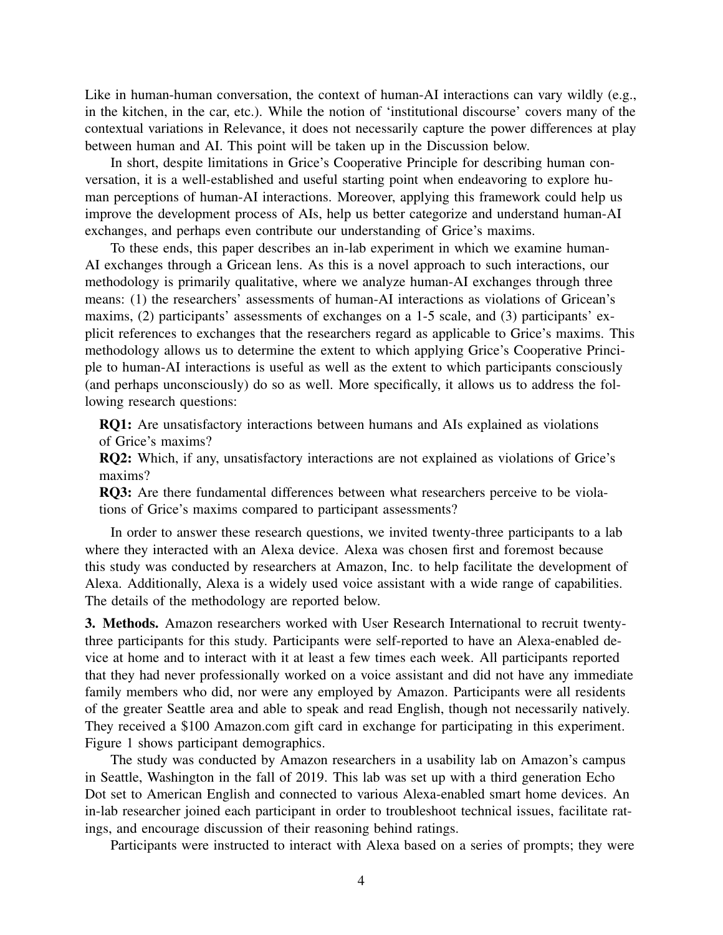Like in human-human conversation, the context of human-AI interactions can vary wildly (e.g., in the kitchen, in the car, etc.). While the notion of 'institutional discourse' covers many of the contextual variations in Relevance, it does not necessarily capture the power differences at play between human and AI. This point will be taken up in the Discussion below.

In short, despite limitations in Grice's Cooperative Principle for describing human conversation, it is a well-established and useful starting point when endeavoring to explore human perceptions of human-AI interactions. Moreover, applying this framework could help us improve the development process of AIs, help us better categorize and understand human-AI exchanges, and perhaps even contribute our understanding of Grice's maxims.

To these ends, this paper describes an in-lab experiment in which we examine human-AI exchanges through a Gricean lens. As this is a novel approach to such interactions, our methodology is primarily qualitative, where we analyze human-AI exchanges through three means: (1) the researchers' assessments of human-AI interactions as violations of Gricean's maxims, (2) participants' assessments of exchanges on a 1-5 scale, and (3) participants' explicit references to exchanges that the researchers regard as applicable to Grice's maxims. This methodology allows us to determine the extent to which applying Grice's Cooperative Principle to human-AI interactions is useful as well as the extent to which participants consciously (and perhaps unconsciously) do so as well. More specifically, it allows us to address the following research questions:

RQ1: Are unsatisfactory interactions between humans and AIs explained as violations of Grice's maxims?

RQ2: Which, if any, unsatisfactory interactions are not explained as violations of Grice's maxims?

RQ3: Are there fundamental differences between what researchers perceive to be violations of Grice's maxims compared to participant assessments?

In order to answer these research questions, we invited twenty-three participants to a lab where they interacted with an Alexa device. Alexa was chosen first and foremost because this study was conducted by researchers at Amazon, Inc. to help facilitate the development of Alexa. Additionally, Alexa is a widely used voice assistant with a wide range of capabilities. The details of the methodology are reported below.

3. Methods. Amazon researchers worked with User Research International to recruit twentythree participants for this study. Participants were self-reported to have an Alexa-enabled device at home and to interact with it at least a few times each week. All participants reported that they had never professionally worked on a voice assistant and did not have any immediate family members who did, nor were any employed by Amazon. Participants were all residents of the greater Seattle area and able to speak and read English, though not necessarily natively. They received a \$100 Amazon.com gift card in exchange for participating in this experiment. Figure [1](#page-4-0) shows participant demographics.

The study was conducted by Amazon researchers in a usability lab on Amazon's campus in Seattle, Washington in the fall of 2019. This lab was set up with a third generation Echo Dot set to American English and connected to various Alexa-enabled smart home devices. An in-lab researcher joined each participant in order to troubleshoot technical issues, facilitate ratings, and encourage discussion of their reasoning behind ratings.

Participants were instructed to interact with Alexa based on a series of prompts; they were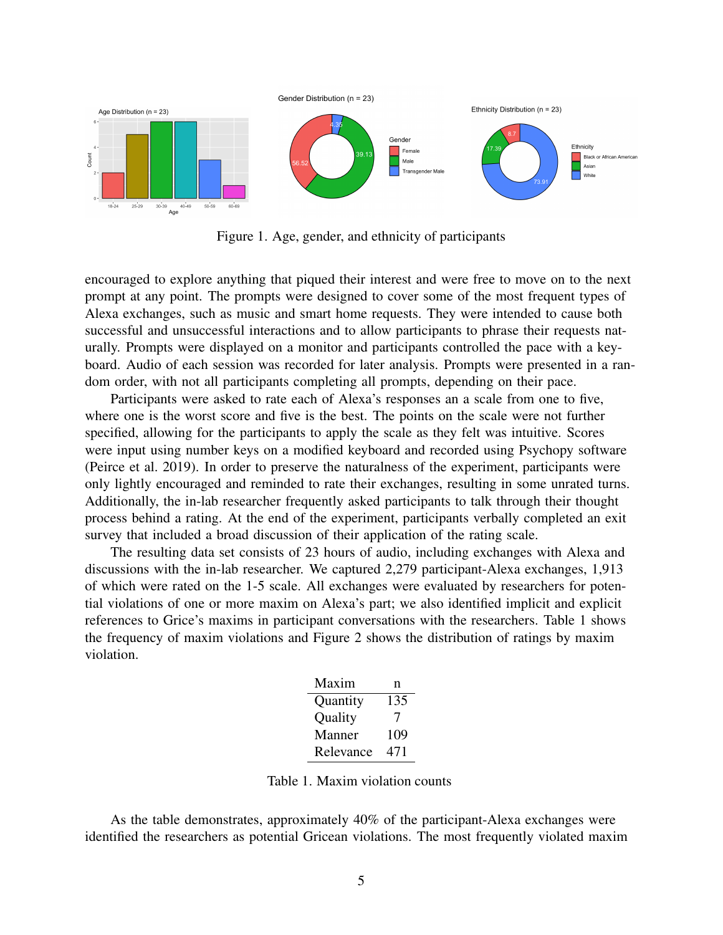<span id="page-4-0"></span>

Figure 1. Age, gender, and ethnicity of participants

encouraged to explore anything that piqued their interest and were free to move on to the next prompt at any point. The prompts were designed to cover some of the most frequent types of Alexa exchanges, such as music and smart home requests. They were intended to cause both successful and unsuccessful interactions and to allow participants to phrase their requests naturally. Prompts were displayed on a monitor and participants controlled the pace with a keyboard. Audio of each session was recorded for later analysis. Prompts were presented in a random order, with not all participants completing all prompts, depending on their pace.

Participants were asked to rate each of Alexa's responses an a scale from one to five, where one is the worst score and five is the best. The points on the scale were not further specified, allowing for the participants to apply the scale as they felt was intuitive. Scores were input using number keys on a modified keyboard and recorded using Psychopy software [\(Peirce et al.](#page-13-6) [2019\)](#page-13-6). In order to preserve the naturalness of the experiment, participants were only lightly encouraged and reminded to rate their exchanges, resulting in some unrated turns. Additionally, the in-lab researcher frequently asked participants to talk through their thought process behind a rating. At the end of the experiment, participants verbally completed an exit survey that included a broad discussion of their application of the rating scale.

<span id="page-4-1"></span>The resulting data set consists of 23 hours of audio, including exchanges with Alexa and discussions with the in-lab researcher. We captured 2,279 participant-Alexa exchanges, 1,913 of which were rated on the 1-5 scale. All exchanges were evaluated by researchers for potential violations of one or more maxim on Alexa's part; we also identified implicit and explicit references to Grice's maxims in participant conversations with the researchers. Table [1](#page-4-1) shows the frequency of maxim violations and Figure [2](#page-5-0) shows the distribution of ratings by maxim violation.

| Maxim     | n   |
|-----------|-----|
| Quantity  | 135 |
| Quality   | 7   |
| Manner    | 109 |
| Relevance | 471 |

Table 1. Maxim violation counts

As the table demonstrates, approximately 40% of the participant-Alexa exchanges were identified the researchers as potential Gricean violations. The most frequently violated maxim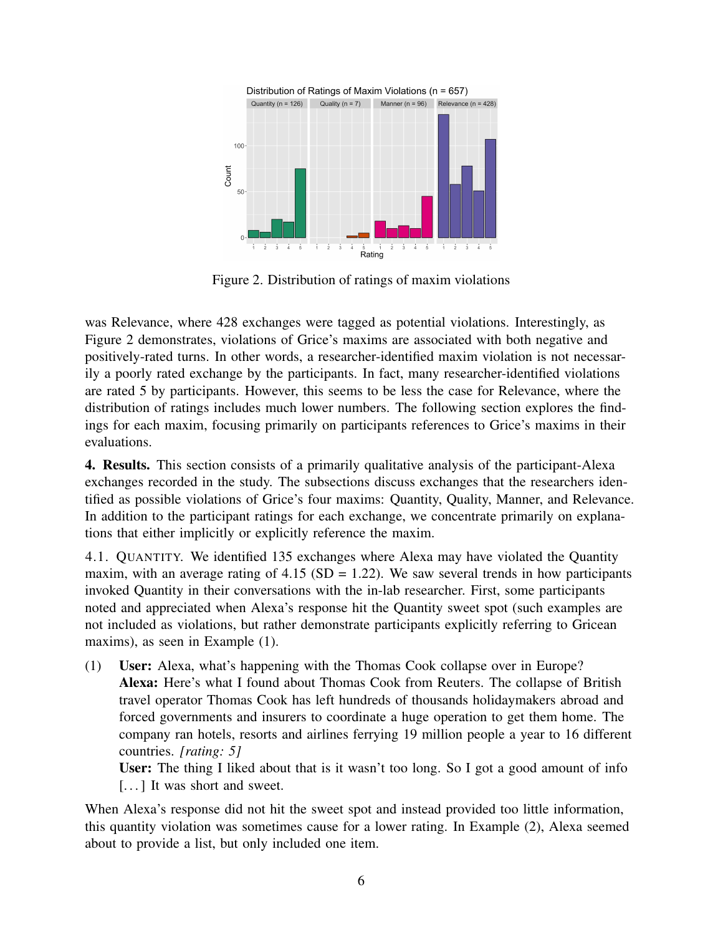<span id="page-5-0"></span>

Figure 2. Distribution of ratings of maxim violations

was Relevance, where 428 exchanges were tagged as potential violations. Interestingly, as Figure [2](#page-5-0) demonstrates, violations of Grice's maxims are associated with both negative and positively-rated turns. In other words, a researcher-identified maxim violation is not necessarily a poorly rated exchange by the participants. In fact, many researcher-identified violations are rated 5 by participants. However, this seems to be less the case for Relevance, where the distribution of ratings includes much lower numbers. The following section explores the findings for each maxim, focusing primarily on participants references to Grice's maxims in their evaluations.

4. Results. This section consists of a primarily qualitative analysis of the participant-Alexa exchanges recorded in the study. The subsections discuss exchanges that the researchers identified as possible violations of Grice's four maxims: Quantity, Quality, Manner, and Relevance. In addition to the participant ratings for each exchange, we concentrate primarily on explanations that either implicitly or explicitly reference the maxim.

4.1. QUANTITY. We identified 135 exchanges where Alexa may have violated the Quantity maxim, with an average rating of  $4.15$  (SD = 1.22). We saw several trends in how participants invoked Quantity in their conversations with the in-lab researcher. First, some participants noted and appreciated when Alexa's response hit the Quantity sweet spot (such examples are not included as violations, but rather demonstrate participants explicitly referring to Gricean maxims), as seen in Example [\(1\).](#page-5-1)

<span id="page-5-1"></span>(1) User: Alexa, what's happening with the Thomas Cook collapse over in Europe? Alexa: Here's what I found about Thomas Cook from Reuters. The collapse of British travel operator Thomas Cook has left hundreds of thousands holidaymakers abroad and forced governments and insurers to coordinate a huge operation to get them home. The company ran hotels, resorts and airlines ferrying 19 million people a year to 16 different countries. *[rating: 5]*

User: The thing I liked about that is it wasn't too long. So I got a good amount of info [...] It was short and sweet.

<span id="page-5-2"></span>When Alexa's response did not hit the sweet spot and instead provided too little information, this quantity violation was sometimes cause for a lower rating. In Example [\(2\),](#page-5-2) Alexa seemed about to provide a list, but only included one item.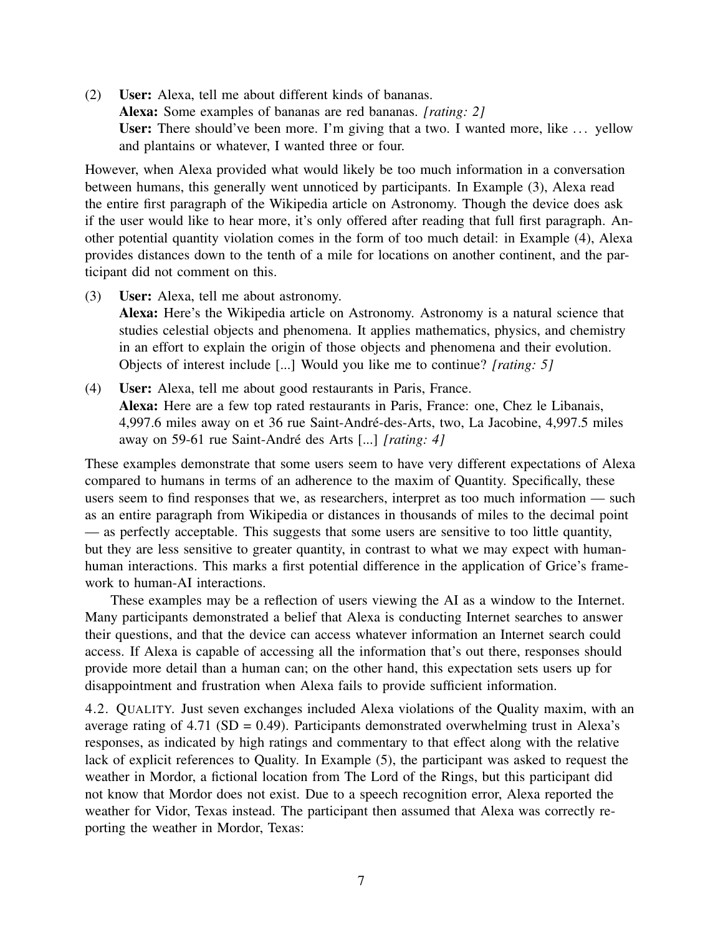(2) User: Alexa, tell me about different kinds of bananas. Alexa: Some examples of bananas are red bananas. *[rating: 2]* User: There should've been more. I'm giving that a two. I wanted more, like ... yellow and plantains or whatever, I wanted three or four.

However, when Alexa provided what would likely be too much information in a conversation between humans, this generally went unnoticed by participants. In Example [\(3\),](#page-6-0) Alexa read the entire first paragraph of the Wikipedia article on Astronomy. Though the device does ask if the user would like to hear more, it's only offered after reading that full first paragraph. Another potential quantity violation comes in the form of too much detail: in Example [\(4\),](#page-6-1) Alexa provides distances down to the tenth of a mile for locations on another continent, and the participant did not comment on this.

- <span id="page-6-0"></span>(3) User: Alexa, tell me about astronomy. Alexa: Here's the Wikipedia article on Astronomy. Astronomy is a natural science that studies celestial objects and phenomena. It applies mathematics, physics, and chemistry in an effort to explain the origin of those objects and phenomena and their evolution. Objects of interest include [...] Would you like me to continue? *[rating: 5]*
- <span id="page-6-1"></span>(4) User: Alexa, tell me about good restaurants in Paris, France. Alexa: Here are a few top rated restaurants in Paris, France: one, Chez le Libanais, 4,997.6 miles away on et 36 rue Saint-André-des-Arts, two, La Jacobine, 4,997.5 miles away on 59-61 rue Saint-André des Arts [...] [rating: 4]

These examples demonstrate that some users seem to have very different expectations of Alexa compared to humans in terms of an adherence to the maxim of Quantity. Specifically, these users seem to find responses that we, as researchers, interpret as too much information — such as an entire paragraph from Wikipedia or distances in thousands of miles to the decimal point — as perfectly acceptable. This suggests that some users are sensitive to too little quantity, but they are less sensitive to greater quantity, in contrast to what we may expect with humanhuman interactions. This marks a first potential difference in the application of Grice's framework to human-AI interactions.

These examples may be a reflection of users viewing the AI as a window to the Internet. Many participants demonstrated a belief that Alexa is conducting Internet searches to answer their questions, and that the device can access whatever information an Internet search could access. If Alexa is capable of accessing all the information that's out there, responses should provide more detail than a human can; on the other hand, this expectation sets users up for disappointment and frustration when Alexa fails to provide sufficient information.

<span id="page-6-2"></span>4.2. QUALITY. Just seven exchanges included Alexa violations of the Quality maxim, with an average rating of 4.71 ( $SD = 0.49$ ). Participants demonstrated overwhelming trust in Alexa's responses, as indicated by high ratings and commentary to that effect along with the relative lack of explicit references to Quality. In Example [\(5\),](#page-6-2) the participant was asked to request the weather in Mordor, a fictional location from The Lord of the Rings, but this participant did not know that Mordor does not exist. Due to a speech recognition error, Alexa reported the weather for Vidor, Texas instead. The participant then assumed that Alexa was correctly reporting the weather in Mordor, Texas: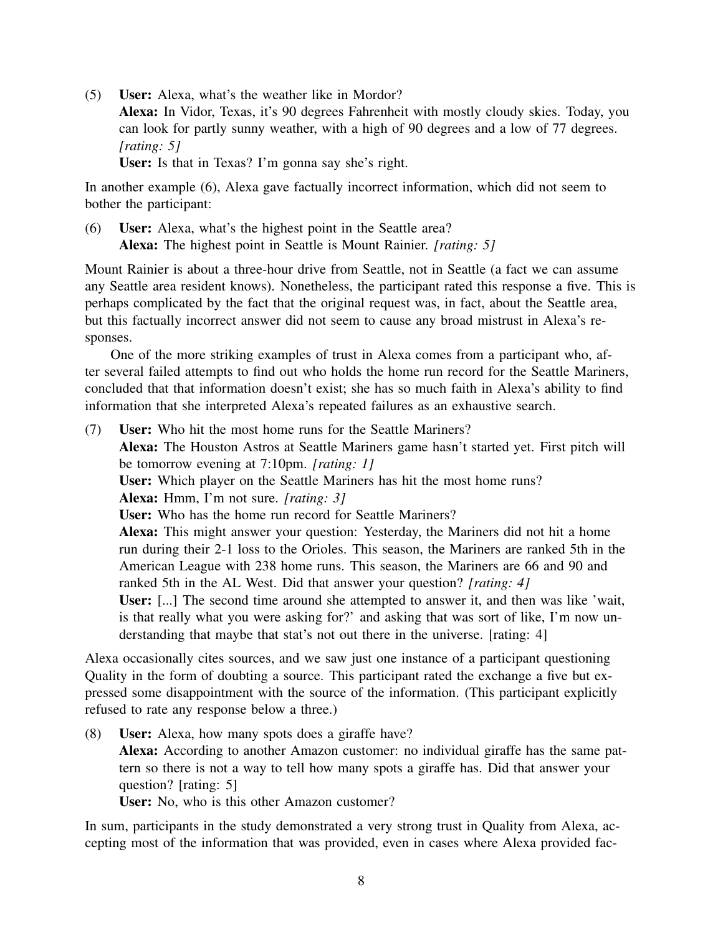(5) User: Alexa, what's the weather like in Mordor?

Alexa: In Vidor, Texas, it's 90 degrees Fahrenheit with mostly cloudy skies. Today, you can look for partly sunny weather, with a high of 90 degrees and a low of 77 degrees. *[rating: 5]*

User: Is that in Texas? I'm gonna say she's right.

In another example [\(6\),](#page-7-0) Alexa gave factually incorrect information, which did not seem to bother the participant:

<span id="page-7-0"></span>(6) User: Alexa, what's the highest point in the Seattle area? Alexa: The highest point in Seattle is Mount Rainier. *[rating: 5]*

Mount Rainier is about a three-hour drive from Seattle, not in Seattle (a fact we can assume any Seattle area resident knows). Nonetheless, the participant rated this response a five. This is perhaps complicated by the fact that the original request was, in fact, about the Seattle area, but this factually incorrect answer did not seem to cause any broad mistrust in Alexa's responses.

One of the more striking examples of trust in Alexa comes from a participant who, after several failed attempts to find out who holds the home run record for the Seattle Mariners, concluded that that information doesn't exist; she has so much faith in Alexa's ability to find information that she interpreted Alexa's repeated failures as an exhaustive search.

(7) User: Who hit the most home runs for the Seattle Mariners? Alexa: The Houston Astros at Seattle Mariners game hasn't started yet. First pitch will be tomorrow evening at 7:10pm. *[rating: 1]* User: Which player on the Seattle Mariners has hit the most home runs? Alexa: Hmm, I'm not sure. *[rating: 3]* User: Who has the home run record for Seattle Mariners? Alexa: This might answer your question: Yesterday, the Mariners did not hit a home run during their 2-1 loss to the Orioles. This season, the Mariners are ranked 5th in the American League with 238 home runs. This season, the Mariners are 66 and 90 and ranked 5th in the AL West. Did that answer your question? *[rating: 4]* User: [...] The second time around she attempted to answer it, and then was like 'wait, is that really what you were asking for?' and asking that was sort of like, I'm now understanding that maybe that stat's not out there in the universe. [rating: 4]

Alexa occasionally cites sources, and we saw just one instance of a participant questioning Quality in the form of doubting a source. This participant rated the exchange a five but expressed some disappointment with the source of the information. (This participant explicitly refused to rate any response below a three.)

(8) User: Alexa, how many spots does a giraffe have? Alexa: According to another Amazon customer: no individual giraffe has the same pattern so there is not a way to tell how many spots a giraffe has. Did that answer your question? [rating: 5] User: No, who is this other Amazon customer?

In sum, participants in the study demonstrated a very strong trust in Quality from Alexa, accepting most of the information that was provided, even in cases where Alexa provided fac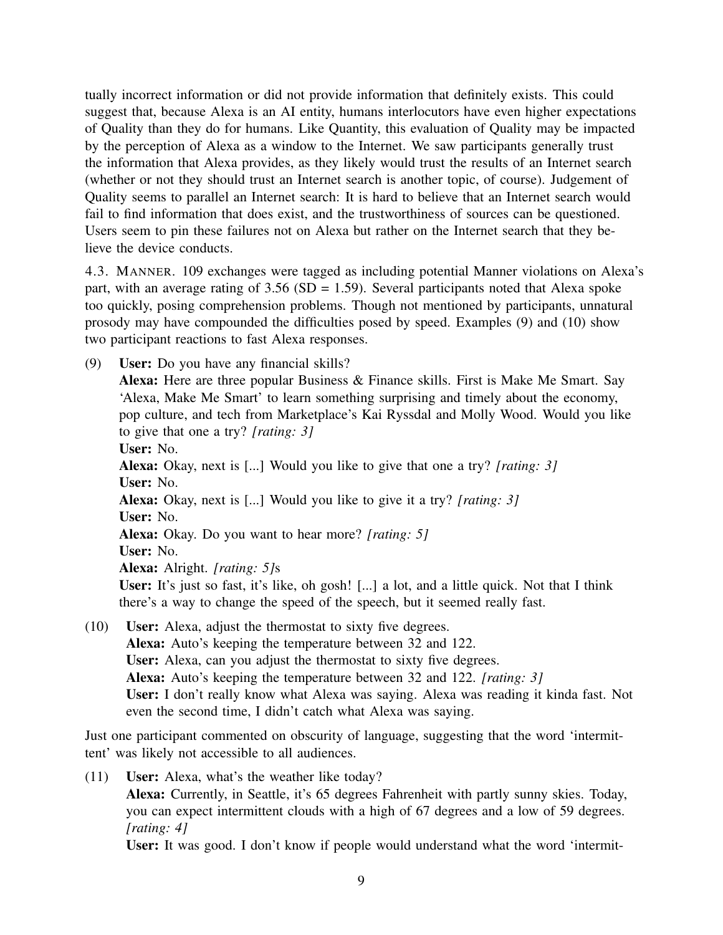tually incorrect information or did not provide information that definitely exists. This could suggest that, because Alexa is an AI entity, humans interlocutors have even higher expectations of Quality than they do for humans. Like Quantity, this evaluation of Quality may be impacted by the perception of Alexa as a window to the Internet. We saw participants generally trust the information that Alexa provides, as they likely would trust the results of an Internet search (whether or not they should trust an Internet search is another topic, of course). Judgement of Quality seems to parallel an Internet search: It is hard to believe that an Internet search would fail to find information that does exist, and the trustworthiness of sources can be questioned. Users seem to pin these failures not on Alexa but rather on the Internet search that they believe the device conducts.

4.3. MANNER. 109 exchanges were tagged as including potential Manner violations on Alexa's part, with an average rating of  $3.56$  (SD = 1.59). Several participants noted that Alexa spoke too quickly, posing comprehension problems. Though not mentioned by participants, unnatural prosody may have compounded the difficulties posed by speed. Examples [\(9\)](#page-8-0) and [\(10\)](#page-8-1) show two participant reactions to fast Alexa responses.

<span id="page-8-0"></span>(9) User: Do you have any financial skills? Alexa: Here are three popular Business & Finance skills. First is Make Me Smart. Say 'Alexa, Make Me Smart' to learn something surprising and timely about the economy, pop culture, and tech from Marketplace's Kai Ryssdal and Molly Wood. Would you like to give that one a try? *[rating: 3]* User: No. Alexa: Okay, next is [...] Would you like to give that one a try? *[rating: 3]* User: No. Alexa: Okay, next is [...] Would you like to give it a try? *[rating: 3]* User: No. Alexa: Okay. Do you want to hear more? *[rating: 5]* User: No. Alexa: Alright. *[rating: 5]*s User: It's just so fast, it's like, oh gosh! [...] a lot, and a little quick. Not that I think there's a way to change the speed of the speech, but it seemed really fast.

<span id="page-8-1"></span>(10) User: Alexa, adjust the thermostat to sixty five degrees. Alexa: Auto's keeping the temperature between 32 and 122. User: Alexa, can you adjust the thermostat to sixty five degrees. Alexa: Auto's keeping the temperature between 32 and 122. *[rating: 3]* User: I don't really know what Alexa was saying. Alexa was reading it kinda fast. Not even the second time, I didn't catch what Alexa was saying.

Just one participant commented on obscurity of language, suggesting that the word 'intermittent' was likely not accessible to all audiences.

(11) User: Alexa, what's the weather like today?

Alexa: Currently, in Seattle, it's 65 degrees Fahrenheit with partly sunny skies. Today, you can expect intermittent clouds with a high of 67 degrees and a low of 59 degrees. *[rating: 4]*

User: It was good. I don't know if people would understand what the word 'intermit-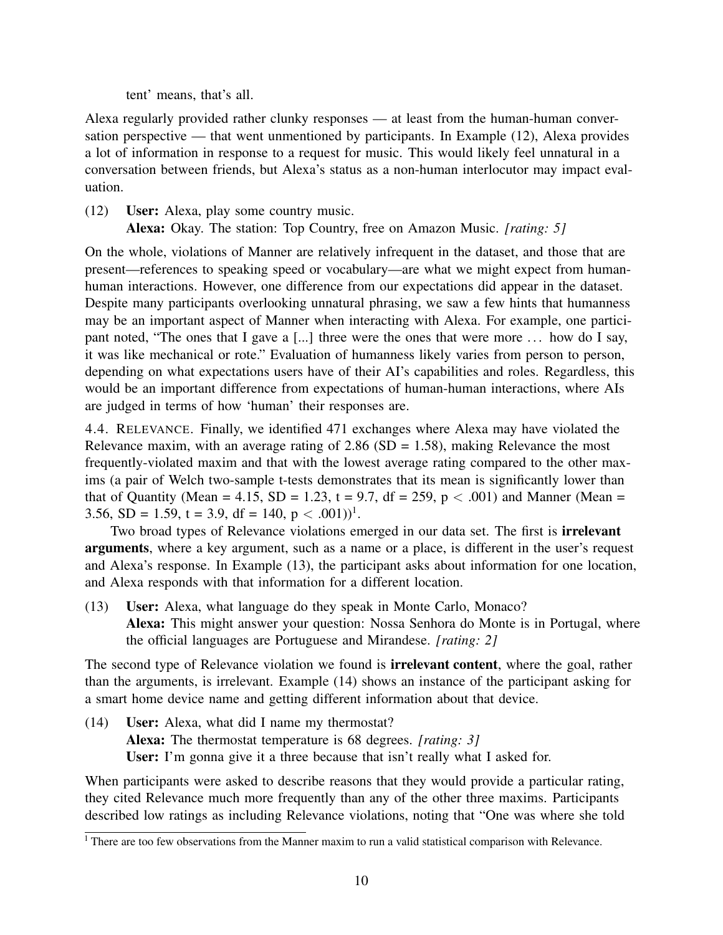tent' means, that's all.

Alexa regularly provided rather clunky responses — at least from the human-human conversation perspective — that went unmentioned by participants. In Example [\(12\),](#page-9-0) Alexa provides a lot of information in response to a request for music. This would likely feel unnatural in a conversation between friends, but Alexa's status as a non-human interlocutor may impact evaluation.

<span id="page-9-0"></span>(12) User: Alexa, play some country music. Alexa: Okay. The station: Top Country, free on Amazon Music. *[rating: 5]*

On the whole, violations of Manner are relatively infrequent in the dataset, and those that are present—references to speaking speed or vocabulary—are what we might expect from humanhuman interactions. However, one difference from our expectations did appear in the dataset. Despite many participants overlooking unnatural phrasing, we saw a few hints that humanness may be an important aspect of Manner when interacting with Alexa. For example, one participant noted, "The ones that I gave a [...] three were the ones that were more ... how do I say, it was like mechanical or rote." Evaluation of humanness likely varies from person to person, depending on what expectations users have of their AI's capabilities and roles. Regardless, this would be an important difference from expectations of human-human interactions, where AIs are judged in terms of how 'human' their responses are.

4.4. RELEVANCE. Finally, we identified 471 exchanges where Alexa may have violated the Relevance maxim, with an average rating of  $2.86$  (SD = 1.58), making Relevance the most frequently-violated maxim and that with the lowest average rating compared to the other maxims (a pair of Welch two-sample t-tests demonstrates that its mean is significantly lower than that of Quantity (Mean = 4.15, SD = 1.23, t = 9.7, df = 259,  $p < .001$ ) and Manner (Mean = 3.56, SD = [1](#page-9-1).59, t = 3.9, df = 140, p < .001)<sup>1</sup>.

Two broad types of Relevance violations emerged in our data set. The first is irrelevant arguments, where a key argument, such as a name or a place, is different in the user's request and Alexa's response. In Example [\(13\),](#page-9-2) the participant asks about information for one location, and Alexa responds with that information for a different location.

<span id="page-9-2"></span>(13) User: Alexa, what language do they speak in Monte Carlo, Monaco? Alexa: This might answer your question: Nossa Senhora do Monte is in Portugal, where the official languages are Portuguese and Mirandese. *[rating: 2]*

The second type of Relevance violation we found is **irrelevant content**, where the goal, rather than the arguments, is irrelevant. Example [\(14\)](#page-9-3) shows an instance of the participant asking for a smart home device name and getting different information about that device.

<span id="page-9-3"></span>(14) User: Alexa, what did I name my thermostat? Alexa: The thermostat temperature is 68 degrees. *[rating: 3]* User: I'm gonna give it a three because that isn't really what I asked for.

When participants were asked to describe reasons that they would provide a particular rating, they cited Relevance much more frequently than any of the other three maxims. Participants described low ratings as including Relevance violations, noting that "One was where she told

<span id="page-9-1"></span><sup>&</sup>lt;sup>1</sup> There are too few observations from the Manner maxim to run a valid statistical comparison with Relevance.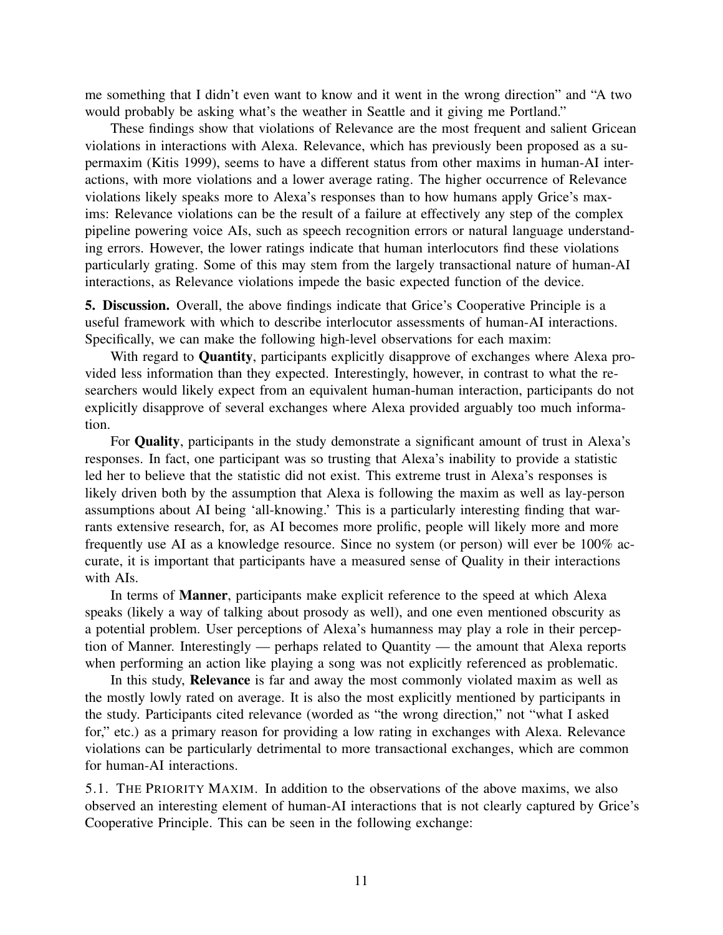me something that I didn't even want to know and it went in the wrong direction" and "A two would probably be asking what's the weather in Seattle and it giving me Portland."

These findings show that violations of Relevance are the most frequent and salient Gricean violations in interactions with Alexa. Relevance, which has previously been proposed as a supermaxim [\(Kitis](#page-13-5) [1999\)](#page-13-5), seems to have a different status from other maxims in human-AI interactions, with more violations and a lower average rating. The higher occurrence of Relevance violations likely speaks more to Alexa's responses than to how humans apply Grice's maxims: Relevance violations can be the result of a failure at effectively any step of the complex pipeline powering voice AIs, such as speech recognition errors or natural language understanding errors. However, the lower ratings indicate that human interlocutors find these violations particularly grating. Some of this may stem from the largely transactional nature of human-AI interactions, as Relevance violations impede the basic expected function of the device.

5. Discussion. Overall, the above findings indicate that Grice's Cooperative Principle is a useful framework with which to describe interlocutor assessments of human-AI interactions. Specifically, we can make the following high-level observations for each maxim:

With regard to **Quantity**, participants explicitly disapprove of exchanges where Alexa provided less information than they expected. Interestingly, however, in contrast to what the researchers would likely expect from an equivalent human-human interaction, participants do not explicitly disapprove of several exchanges where Alexa provided arguably too much information.

For Quality, participants in the study demonstrate a significant amount of trust in Alexa's responses. In fact, one participant was so trusting that Alexa's inability to provide a statistic led her to believe that the statistic did not exist. This extreme trust in Alexa's responses is likely driven both by the assumption that Alexa is following the maxim as well as lay-person assumptions about AI being 'all-knowing.' This is a particularly interesting finding that warrants extensive research, for, as AI becomes more prolific, people will likely more and more frequently use AI as a knowledge resource. Since no system (or person) will ever be 100% accurate, it is important that participants have a measured sense of Quality in their interactions with AIs.

In terms of Manner, participants make explicit reference to the speed at which Alexa speaks (likely a way of talking about prosody as well), and one even mentioned obscurity as a potential problem. User perceptions of Alexa's humanness may play a role in their perception of Manner. Interestingly — perhaps related to Quantity — the amount that Alexa reports when performing an action like playing a song was not explicitly referenced as problematic.

In this study, Relevance is far and away the most commonly violated maxim as well as the mostly lowly rated on average. It is also the most explicitly mentioned by participants in the study. Participants cited relevance (worded as "the wrong direction," not "what I asked for," etc.) as a primary reason for providing a low rating in exchanges with Alexa. Relevance violations can be particularly detrimental to more transactional exchanges, which are common for human-AI interactions.

5.1. THE PRIORITY MAXIM. In addition to the observations of the above maxims, we also observed an interesting element of human-AI interactions that is not clearly captured by Grice's Cooperative Principle. This can be seen in the following exchange: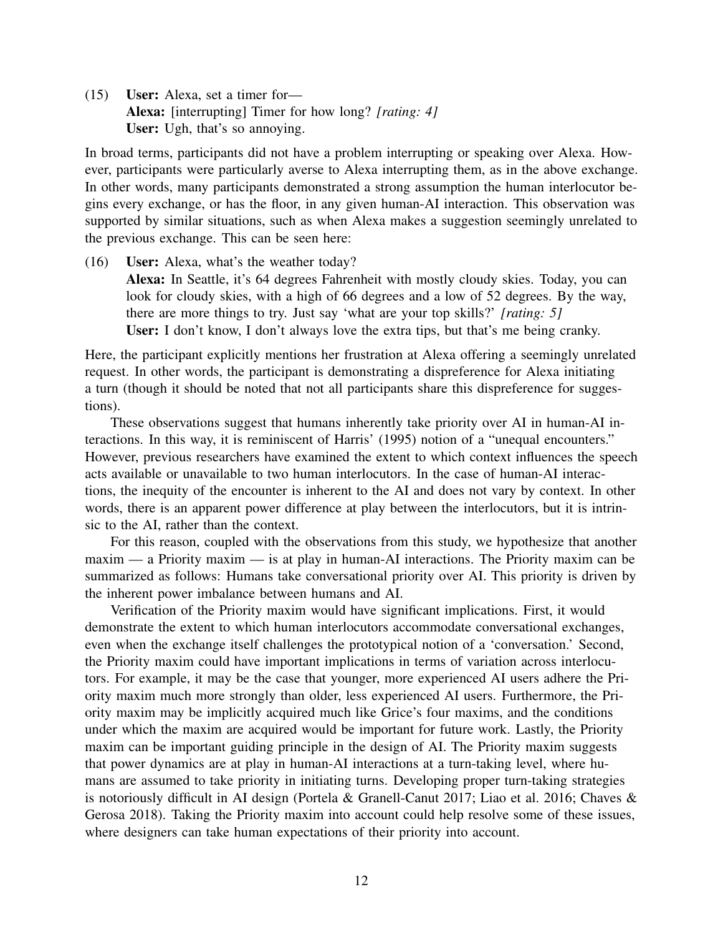(15) User: Alexa, set a timer for— Alexa: [interrupting] Timer for how long? *[rating: 4]* User: Ugh, that's so annoying.

In broad terms, participants did not have a problem interrupting or speaking over Alexa. However, participants were particularly averse to Alexa interrupting them, as in the above exchange. In other words, many participants demonstrated a strong assumption the human interlocutor begins every exchange, or has the floor, in any given human-AI interaction. This observation was supported by similar situations, such as when Alexa makes a suggestion seemingly unrelated to the previous exchange. This can be seen here:

(16) User: Alexa, what's the weather today? Alexa: In Seattle, it's 64 degrees Fahrenheit with mostly cloudy skies. Today, you can look for cloudy skies, with a high of 66 degrees and a low of 52 degrees. By the way, there are more things to try. Just say 'what are your top skills?' *[rating: 5]* User: I don't know, I don't always love the extra tips, but that's me being cranky.

Here, the participant explicitly mentions her frustration at Alexa offering a seemingly unrelated request. In other words, the participant is demonstrating a dispreference for Alexa initiating a turn (though it should be noted that not all participants share this dispreference for suggestions).

These observations suggest that humans inherently take priority over AI in human-AI interactions. In this way, it is reminiscent of Harris' [\(1995\)](#page-13-4) notion of a "unequal encounters." However, previous researchers have examined the extent to which context influences the speech acts available or unavailable to two human interlocutors. In the case of human-AI interactions, the inequity of the encounter is inherent to the AI and does not vary by context. In other words, there is an apparent power difference at play between the interlocutors, but it is intrinsic to the AI, rather than the context.

For this reason, coupled with the observations from this study, we hypothesize that another maxim — a Priority maxim — is at play in human-AI interactions. The Priority maxim can be summarized as follows: Humans take conversational priority over AI. This priority is driven by the inherent power imbalance between humans and AI.

Verification of the Priority maxim would have significant implications. First, it would demonstrate the extent to which human interlocutors accommodate conversational exchanges, even when the exchange itself challenges the prototypical notion of a 'conversation.' Second, the Priority maxim could have important implications in terms of variation across interlocutors. For example, it may be the case that younger, more experienced AI users adhere the Priority maxim much more strongly than older, less experienced AI users. Furthermore, the Priority maxim may be implicitly acquired much like Grice's four maxims, and the conditions under which the maxim are acquired would be important for future work. Lastly, the Priority maxim can be important guiding principle in the design of AI. The Priority maxim suggests that power dynamics are at play in human-AI interactions at a turn-taking level, where humans are assumed to take priority in initiating turns. Developing proper turn-taking strategies is notoriously difficult in AI design [\(Portela & Granell-Canut](#page-13-7) [2017;](#page-13-7) [Liao et al.](#page-13-8) [2016;](#page-13-8) [Chaves &](#page-13-9) [Gerosa](#page-13-9) [2018\)](#page-13-9). Taking the Priority maxim into account could help resolve some of these issues, where designers can take human expectations of their priority into account.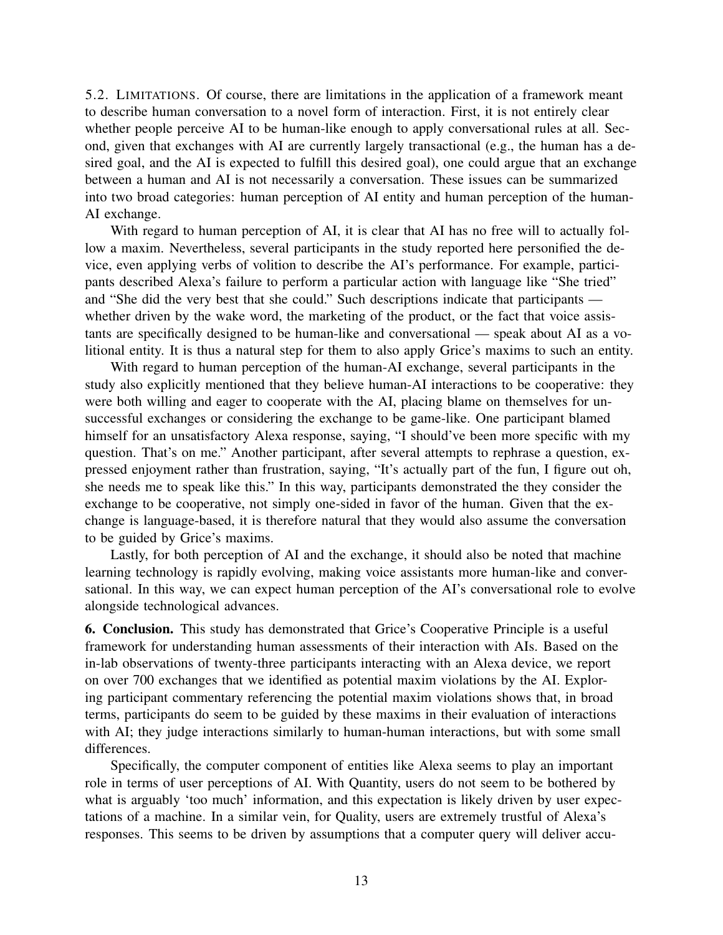5.2. LIMITATIONS. Of course, there are limitations in the application of a framework meant to describe human conversation to a novel form of interaction. First, it is not entirely clear whether people perceive AI to be human-like enough to apply conversational rules at all. Second, given that exchanges with AI are currently largely transactional (e.g., the human has a desired goal, and the AI is expected to fulfill this desired goal), one could argue that an exchange between a human and AI is not necessarily a conversation. These issues can be summarized into two broad categories: human perception of AI entity and human perception of the human-AI exchange.

With regard to human perception of AI, it is clear that AI has no free will to actually follow a maxim. Nevertheless, several participants in the study reported here personified the device, even applying verbs of volition to describe the AI's performance. For example, participants described Alexa's failure to perform a particular action with language like "She tried" and "She did the very best that she could." Such descriptions indicate that participants whether driven by the wake word, the marketing of the product, or the fact that voice assistants are specifically designed to be human-like and conversational — speak about AI as a volitional entity. It is thus a natural step for them to also apply Grice's maxims to such an entity.

With regard to human perception of the human-AI exchange, several participants in the study also explicitly mentioned that they believe human-AI interactions to be cooperative: they were both willing and eager to cooperate with the AI, placing blame on themselves for unsuccessful exchanges or considering the exchange to be game-like. One participant blamed himself for an unsatisfactory Alexa response, saying, "I should've been more specific with my question. That's on me." Another participant, after several attempts to rephrase a question, expressed enjoyment rather than frustration, saying, "It's actually part of the fun, I figure out oh, she needs me to speak like this." In this way, participants demonstrated the they consider the exchange to be cooperative, not simply one-sided in favor of the human. Given that the exchange is language-based, it is therefore natural that they would also assume the conversation to be guided by Grice's maxims.

Lastly, for both perception of AI and the exchange, it should also be noted that machine learning technology is rapidly evolving, making voice assistants more human-like and conversational. In this way, we can expect human perception of the AI's conversational role to evolve alongside technological advances.

6. Conclusion. This study has demonstrated that Grice's Cooperative Principle is a useful framework for understanding human assessments of their interaction with AIs. Based on the in-lab observations of twenty-three participants interacting with an Alexa device, we report on over 700 exchanges that we identified as potential maxim violations by the AI. Exploring participant commentary referencing the potential maxim violations shows that, in broad terms, participants do seem to be guided by these maxims in their evaluation of interactions with AI; they judge interactions similarly to human-human interactions, but with some small differences.

Specifically, the computer component of entities like Alexa seems to play an important role in terms of user perceptions of AI. With Quantity, users do not seem to be bothered by what is arguably 'too much' information, and this expectation is likely driven by user expectations of a machine. In a similar vein, for Quality, users are extremely trustful of Alexa's responses. This seems to be driven by assumptions that a computer query will deliver accu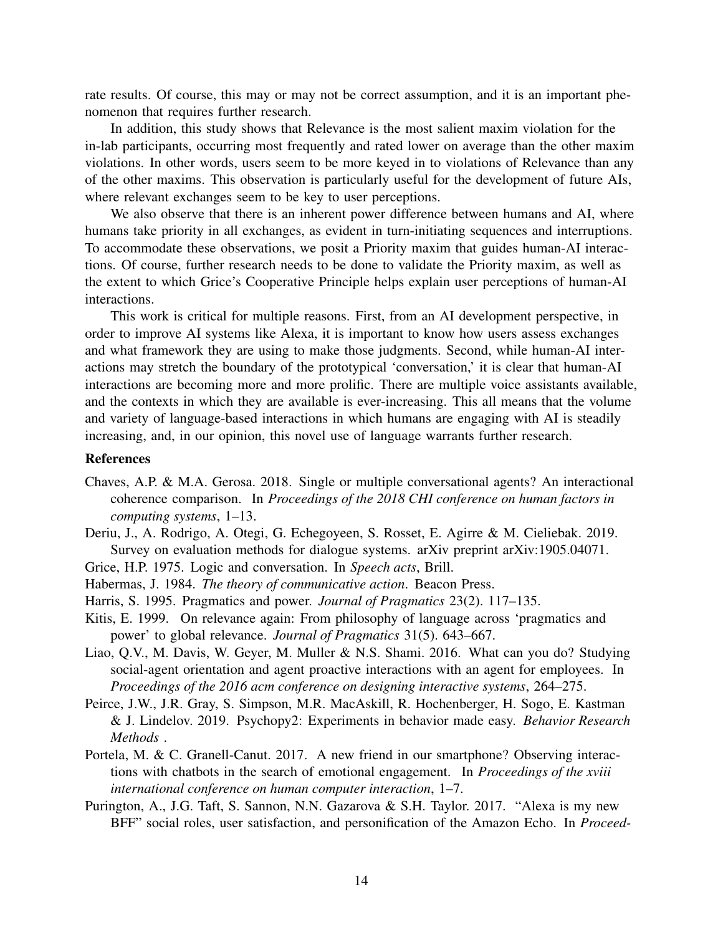rate results. Of course, this may or may not be correct assumption, and it is an important phenomenon that requires further research.

In addition, this study shows that Relevance is the most salient maxim violation for the in-lab participants, occurring most frequently and rated lower on average than the other maxim violations. In other words, users seem to be more keyed in to violations of Relevance than any of the other maxims. This observation is particularly useful for the development of future AIs, where relevant exchanges seem to be key to user perceptions.

We also observe that there is an inherent power difference between humans and AI, where humans take priority in all exchanges, as evident in turn-initiating sequences and interruptions. To accommodate these observations, we posit a Priority maxim that guides human-AI interactions. Of course, further research needs to be done to validate the Priority maxim, as well as the extent to which Grice's Cooperative Principle helps explain user perceptions of human-AI interactions.

This work is critical for multiple reasons. First, from an AI development perspective, in order to improve AI systems like Alexa, it is important to know how users assess exchanges and what framework they are using to make those judgments. Second, while human-AI interactions may stretch the boundary of the prototypical 'conversation,' it is clear that human-AI interactions are becoming more and more prolific. There are multiple voice assistants available, and the contexts in which they are available is ever-increasing. This all means that the volume and variety of language-based interactions in which humans are engaging with AI is steadily increasing, and, in our opinion, this novel use of language warrants further research.

## **References**

- <span id="page-13-9"></span>Chaves, A.P. & M.A. Gerosa. 2018. Single or multiple conversational agents? An interactional coherence comparison. In *Proceedings of the 2018 CHI conference on human factors in computing systems*, 1–13.
- <span id="page-13-1"></span>Deriu, J., A. Rodrigo, A. Otegi, G. Echegoyeen, S. Rosset, E. Agirre & M. Cieliebak. 2019. Survey on evaluation methods for dialogue systems. arXiv preprint arXiv:1905.04071.
- <span id="page-13-0"></span>Grice, H.P. 1975. Logic and conversation. In *Speech acts*, Brill.
- <span id="page-13-3"></span>Habermas, J. 1984. *The theory of communicative action*. Beacon Press.
- <span id="page-13-4"></span>Harris, S. 1995. Pragmatics and power. *Journal of Pragmatics* 23(2). 117–135.
- <span id="page-13-5"></span>Kitis, E. 1999. On relevance again: From philosophy of language across 'pragmatics and power' to global relevance. *Journal of Pragmatics* 31(5). 643–667.
- <span id="page-13-8"></span>Liao, Q.V., M. Davis, W. Geyer, M. Muller & N.S. Shami. 2016. What can you do? Studying social-agent orientation and agent proactive interactions with an agent for employees. In *Proceedings of the 2016 acm conference on designing interactive systems*, 264–275.
- <span id="page-13-6"></span>Peirce, J.W., J.R. Gray, S. Simpson, M.R. MacAskill, R. Hochenberger, H. Sogo, E. Kastman & J. Lindelov. 2019. Psychopy2: Experiments in behavior made easy. *Behavior Research Methods* .
- <span id="page-13-7"></span>Portela, M. & C. Granell-Canut. 2017. A new friend in our smartphone? Observing interactions with chatbots in the search of emotional engagement. In *Proceedings of the xviii international conference on human computer interaction*, 1–7.
- <span id="page-13-2"></span>Purington, A., J.G. Taft, S. Sannon, N.N. Gazarova & S.H. Taylor. 2017. "Alexa is my new BFF" social roles, user satisfaction, and personification of the Amazon Echo. In *Proceed-*